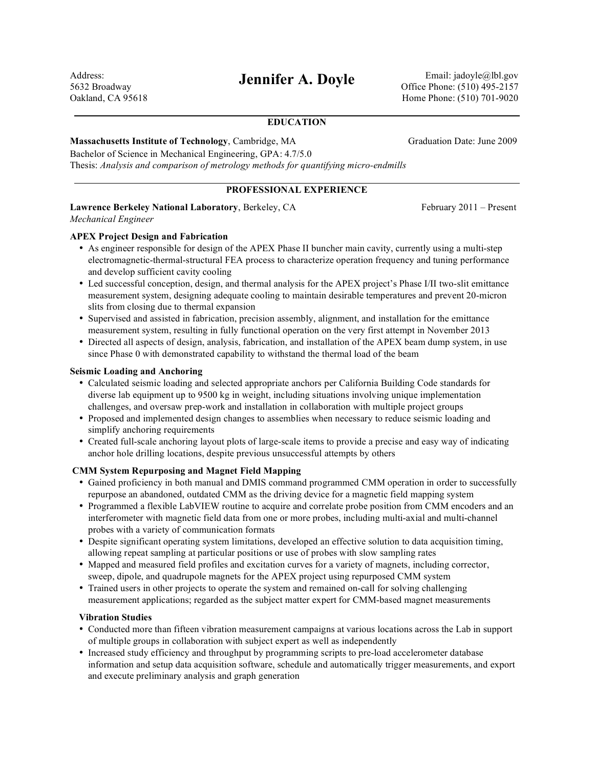Address: 5632 Broadway Oakland, CA 95618

**Jennifer A. Doyle** Email: jadoyle@lbl.gov Office Phone: (510) 495-2157 Home Phone: (510) 701-9020

## **EDUCATION**

#### **Massachusetts Institute of Technology, Cambridge, MA** Graduation Date: June 2009

Bachelor of Science in Mechanical Engineering, GPA: 4.7/5.0 Thesis: *Analysis and comparison of metrology methods for quantifying micro-endmills*

## **PROFESSIONAL EXPERIENCE**

# **Lawrence Berkeley National Laboratory**, Berkeley, CA February 2011 – Present

*Mechanical Engineer*

## **APEX Project Design and Fabrication**

- As engineer responsible for design of the APEX Phase II buncher main cavity, currently using a multi-step electromagnetic-thermal-structural FEA process to characterize operation frequency and tuning performance and develop sufficient cavity cooling
- Led successful conception, design, and thermal analysis for the APEX project's Phase I/II two-slit emittance measurement system, designing adequate cooling to maintain desirable temperatures and prevent 20-micron slits from closing due to thermal expansion
- Supervised and assisted in fabrication, precision assembly, alignment, and installation for the emittance measurement system, resulting in fully functional operation on the very first attempt in November 2013
- Directed all aspects of design, analysis, fabrication, and installation of the APEX beam dump system, in use since Phase 0 with demonstrated capability to withstand the thermal load of the beam

### **Seismic Loading and Anchoring**

- Calculated seismic loading and selected appropriate anchors per California Building Code standards for diverse lab equipment up to 9500 kg in weight, including situations involving unique implementation challenges, and oversaw prep-work and installation in collaboration with multiple project groups
- Proposed and implemented design changes to assemblies when necessary to reduce seismic loading and simplify anchoring requirements
- Created full-scale anchoring layout plots of large-scale items to provide a precise and easy way of indicating anchor hole drilling locations, despite previous unsuccessful attempts by others

## **CMM System Repurposing and Magnet Field Mapping**

- Gained proficiency in both manual and DMIS command programmed CMM operation in order to successfully repurpose an abandoned, outdated CMM as the driving device for a magnetic field mapping system
- Programmed a flexible LabVIEW routine to acquire and correlate probe position from CMM encoders and an interferometer with magnetic field data from one or more probes, including multi-axial and multi-channel probes with a variety of communication formats
- Despite significant operating system limitations, developed an effective solution to data acquisition timing, allowing repeat sampling at particular positions or use of probes with slow sampling rates
- Mapped and measured field profiles and excitation curves for a variety of magnets, including corrector, sweep, dipole, and quadrupole magnets for the APEX project using repurposed CMM system
- Trained users in other projects to operate the system and remained on-call for solving challenging measurement applications; regarded as the subject matter expert for CMM-based magnet measurements

#### **Vibration Studies**

- Conducted more than fifteen vibration measurement campaigns at various locations across the Lab in support of multiple groups in collaboration with subject expert as well as independently
- Increased study efficiency and throughput by programming scripts to pre-load accelerometer database information and setup data acquisition software, schedule and automatically trigger measurements, and export and execute preliminary analysis and graph generation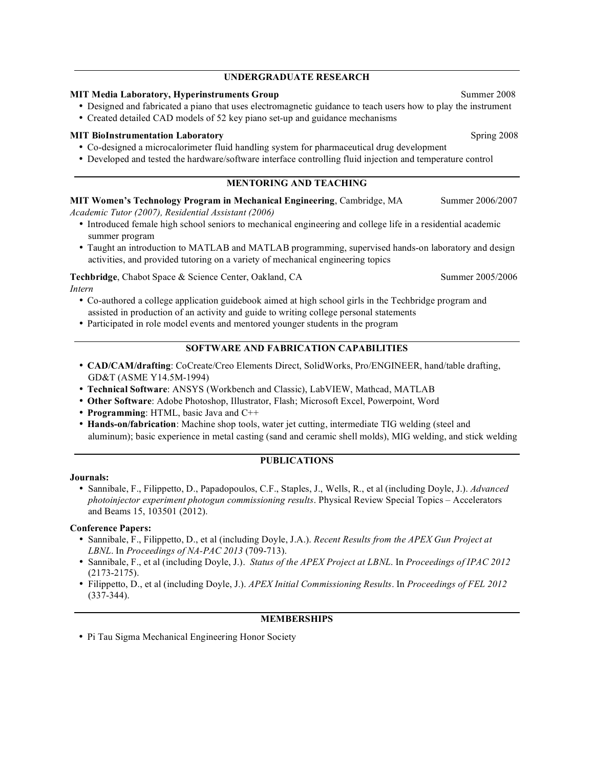#### **UNDERGRADUATE RESEARCH**

#### **MIT Media Laboratory, Hyperinstruments Group** Summer 2008

- Designed and fabricated a piano that uses electromagnetic guidance to teach users how to play the instrument
- Created detailed CAD models of 52 key piano set-up and guidance mechanisms

## **MIT BioInstrumentation Laboratory** Spring 2008

- Co-designed a microcalorimeter fluid handling system for pharmaceutical drug development
- Developed and tested the hardware/software interface controlling fluid injection and temperature control

## **MENTORING AND TEACHING**

**MIT Women's Technology Program in Mechanical Engineering, Cambridge, MA** Summer 2006/2007 *Academic Tutor (2007), Residential Assistant (2006)*

- Introduced female high school seniors to mechanical engineering and college life in a residential academic summer program
- Taught an introduction to MATLAB and MATLAB programming, supervised hands-on laboratory and design activities, and provided tutoring on a variety of mechanical engineering topics

**Techbridge**, Chabot Space & Science Center, Oakland, CA Summer 2005/2006 *Intern*

- Co-authored a college application guidebook aimed at high school girls in the Techbridge program and assisted in production of an activity and guide to writing college personal statements
- Participated in role model events and mentored younger students in the program

## **SOFTWARE AND FABRICATION CAPABILITIES**

- **CAD/CAM/drafting**: CoCreate/Creo Elements Direct, SolidWorks, Pro/ENGINEER, hand/table drafting, GD&T (ASME Y14.5M-1994)
- **Technical Software**: ANSYS (Workbench and Classic), LabVIEW, Mathcad, MATLAB
- **Other Software**: Adobe Photoshop, Illustrator, Flash; Microsoft Excel, Powerpoint, Word
- **Programming**: HTML, basic Java and C++
- **Hands-on/fabrication**: Machine shop tools, water jet cutting, intermediate TIG welding (steel and aluminum); basic experience in metal casting (sand and ceramic shell molds), MIG welding, and stick welding

## **PUBLICATIONS**

#### **Journals:**

• Sannibale, F., Filippetto, D., Papadopoulos, C.F., Staples, J., Wells, R., et al (including Doyle, J.). *Advanced photoinjector experiment photogun commissioning results*. Physical Review Special Topics – Accelerators and Beams 15, 103501 (2012).

#### **Conference Papers:**

- Sannibale, F., Filippetto, D., et al (including Doyle, J.A.). *Recent Results from the APEX Gun Project at LBNL*. In *Proceedings of NA-PAC 2013* (709-713).
- Sannibale, F., et al (including Doyle, J.). *Status of the APEX Project at LBNL*. In *Proceedings of IPAC 2012* (2173-2175).
- Filippetto, D., et al (including Doyle, J.). *APEX Initial Commissioning Results*. In *Proceedings of FEL 2012* (337-344).

## **MEMBERSHIPS**

• Pi Tau Sigma Mechanical Engineering Honor Society